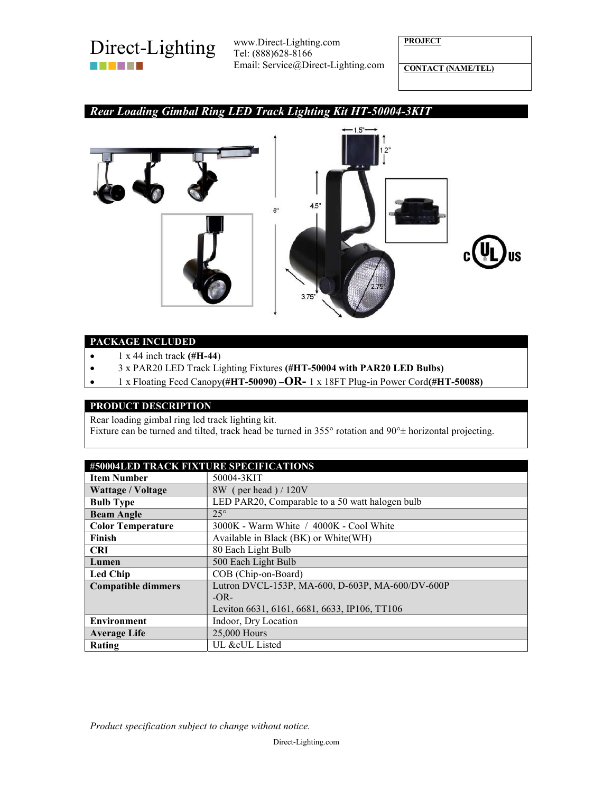

Tel: (888)628-8166 Email: Service@Direct-Lighting.com **PROJECT** 

CONTACT (NAME/TEL)

# Rear Loading Gimbal Ring LED Track Lighting Kit HT-50004-3KIT



### PACKAGE INCLUDED

- $\bullet$  1 x 44 inch track (#H-44)
- 3 x PAR20 LED Track Lighting Fixtures (#HT-50004 with PAR20 LED Bulbs)
- $\bullet$  1 x Floating Feed Canopy(#HT-50090) –OR- 1 x 18FT Plug-in Power Cord(#HT-50088)

#### PRODUCT DESCRIPTION

Rear loading gimbal ring led track lighting kit.

Fixture can be turned and tilted, track head be turned in 355 $\degree$  rotation and 90 $\degree$  horizontal projecting.

| #50004LED TRACK FIXTURE SPECIFICATIONS |                                                  |
|----------------------------------------|--------------------------------------------------|
| <b>Item Number</b>                     | 50004-3KIT                                       |
| <b>Wattage / Voltage</b>               | 8W (per head) / 120V                             |
| <b>Bulb Type</b>                       | LED PAR20, Comparable to a 50 watt halogen bulb  |
| <b>Beam Angle</b>                      | $25^\circ$                                       |
| <b>Color Temperature</b>               | 3000K - Warm White / 4000K - Cool White          |
| Finish                                 | Available in Black (BK) or White (WH)            |
| <b>CRI</b>                             | 80 Each Light Bulb                               |
| Lumen                                  | 500 Each Light Bulb                              |
| <b>Led Chip</b>                        | COB (Chip-on-Board)                              |
| <b>Compatible dimmers</b>              | Lutron DVCL-153P, MA-600, D-603P, MA-600/DV-600P |
|                                        | $-OR-$                                           |
|                                        | Leviton 6631, 6161, 6681, 6633, IP106, TT106     |
| <b>Environment</b>                     | Indoor, Dry Location                             |
| <b>Average Life</b>                    | 25,000 Hours                                     |
| Rating                                 | UL &cUL Listed                                   |